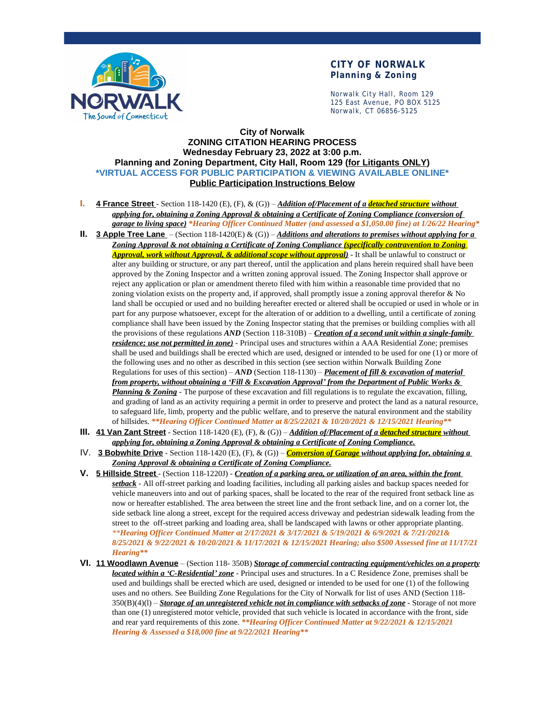

#### **CITY OF NORWALK Planning & Zoning**

Norwalk City Hall, Room 129 125 East Avenue, PO BOX 5125 Norwalk, CT 06856-5125

#### **City of Norwalk ZONING CITATION HEARING PROCESS Wednesday February 23, 2022 at 3:00 p.m. Planning and Zoning Department, City Hall, Room 129 (for Litigants ONLY) \*VIRTUAL ACCESS FOR PUBLIC PARTICIPATION & VIEWING AVAILABLE ONLINE\* Public Participation Instructions Below**

- **I. 4 France Street** Section 118-1420 (E), (F), & (G)) *Addition of/Placement of a detached structure without applying for, obtaining a Zoning Approval & obtaining a Certificate of Zoning Compliance (conversion of garage to living space) \*Hearing Officer Continued Matter (and assessed a \$1,050.00 fine) at 1/26/22 Hearing\**
- **II. 3 Apple Tree Lane**  (Section 118-1420(E) & (G)) *Additions and alterations to premises without applying for a Zoning Approval & not obtaining a Certificate of Zoning Compliance (specifically contravention to Zoning Approval, work without Approval, & additional scope without approval)* - It shall be unlawful to construct or alter any building or structure, or any part thereof, until the application and plans herein required shall have been approved by the Zoning Inspector and a written zoning approval issued. The Zoning Inspector shall approve or reject any application or plan or amendment thereto filed with him within a reasonable time provided that no zoning violation exists on the property and, if approved, shall promptly issue a zoning approval therefor & No land shall be occupied or used and no building hereafter erected or altered shall be occupied or used in whole or in part for any purpose whatsoever, except for the alteration of or addition to a dwelling, until a certificate of zoning compliance shall have been issued by the Zoning Inspector stating that the premises or building complies with all the provisions of these regulations *AND* (Section 118-310B) – *Creation of a second unit within a single-family residence; use not permitted in zone)* - Principal uses and structures within a AAA Residential Zone; premises shall be used and buildings shall be erected which are used, designed or intended to be used for one (1) or more of the following uses and no other as described in this section (see section within Norwalk Building Zone Regulations for uses of this section) – *AND* (Section 118-1130) – *Placement of fill & excavation of material from property, without obtaining a 'Fill & Excavation Approval' from the Department of Public Works & Planning & Zoning* - The purpose of these excavation and fill regulations is to regulate the excavation, filling, and grading of land as an activity requiring a permit in order to preserve and protect the land as a natural resource, to safeguard life, limb, property and the public welfare, and to preserve the natural environment and the stability of hillsides. *\*\*Hearing Officer Continued Matter at 8/25/22021 & 10/20/2021 & 12/15/2021 Hearing\*\**
- **III. 41 Van Zant Street** Section 118-1420 (E), (F), & (G)) *Addition of/Placement of a detached structure without applying for, obtaining a Zoning Approval & obtaining a Certificate of Zoning Compliance.*
- IV. **3 Bobwhite Drive** Section 118-1420 (E), (F), & (G)) *Conversion of Garage without applying for, obtaining a Zoning Approval & obtaining a Certificate of Zoning Compliance.*
- **V. 5 Hillside Street** (Section 118-1220J) *Creation of a parking area, or utilization of an area, within the front setback* - All off-street parking and loading facilities, including all parking aisles and backup spaces needed for vehicle maneuvers into and out of parking spaces, shall be located to the rear of the required front setback line as now or hereafter established. The area between the street line and the front setback line, and on a corner lot, the side setback line along a street, except for the required access driveway and pedestrian sidewalk leading from the street to the off-street parking and loading area, shall be landscaped with lawns or other appropriate planting. *\*\*Hearing Officer Continued Matter at 2/17/2021 & 3/17/2021 & 5/19/2021 & 6/9/2021 & 7/21/2021& 8/25/2021 & 9/22/2021 & 10/20/2021 & 11/17/2021 & 12/15/2021 Hearing; also \$500 Assessed fine at 11/17/21 Hearing\*\**
- **VI. 11 Woodlawn Avenue** (Section 118- 350B) *Storage of commercial contracting equipment/vehicles on a property located within a 'C-Residential' zone* - Principal uses and structures. In a C Residence Zone, premises shall be used and buildings shall be erected which are used, designed or intended to be used for one (1) of the following uses and no others. See Building Zone Regulations for the City of Norwalk for list of uses AND (Section 118- 350(B)(4)(l) – *Storage of an unregistered vehicle not in compliance with setbacks of zone* - Storage of not more than one (1) unregistered motor vehicle, provided that such vehicle is located in accordance with the front, side and rear yard requirements of this zone. *\*\*Hearing Officer Continued Matter at 9/22/2021 & 12/15/2021 Hearing & Assessed a \$18,000 fine at 9/22/2021 Hearing\*\**